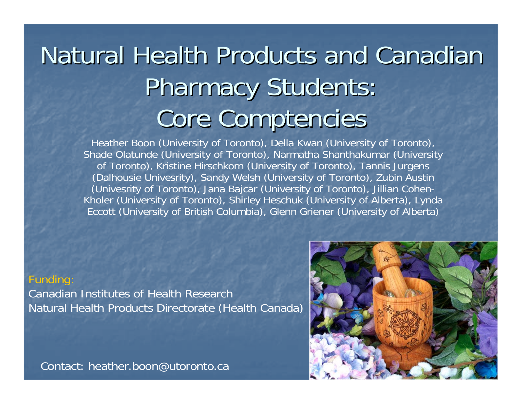# Natural Health Products and Canadian Pharmacy Students: Core Comptencies

Heather Boon (University of Toronto), Della Kwan (University of Toronto), Shade Olatunde (University of Toronto), Narmatha Shanthakumar (University of Toronto), Kristine Hirschkorn (University of Toronto), Tannis Jurgens (Dalhousie Univesrity), Sandy Welsh (University of Toronto), Zubin Austin (Univesrity of Toronto), Jana Bajcar (University of Toronto), Jillian Cohen-Kholer (University of Toronto), Shirley Heschuk (University of Alberta), Lynda Eccott (University of British Columbia), Glenn Griener (University of Alberta)

#### Funding:

Canadian Institutes of Health ResearchNatural Health Products Directorate (Health Canada)

Contact: heather.boon@utoronto.ca

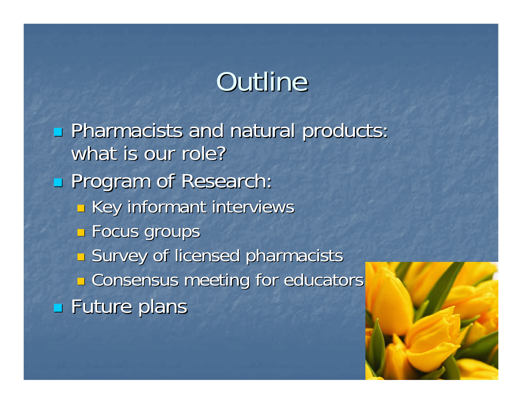# Outline

**Pharmacists and natural products:** what is our role? **Program of Research:**  $\mathbb{R}^2$ **Example 1 Key informant interviews Focus groups**  $\mathbb{R}^3$ **Survey of licensed pharmacists**  $\mathbb{R}^3$ **E** Consensus meeting for educators **Example 15 Future plans** 

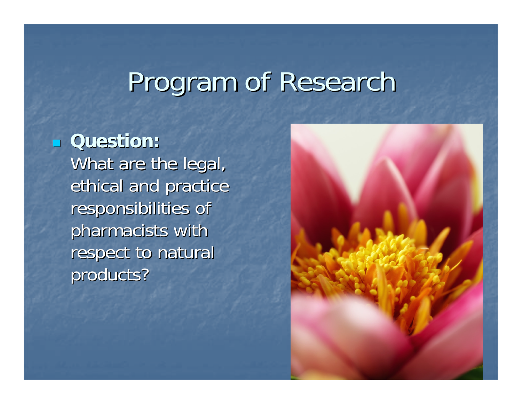# Program of Research

#### $\mathbb{R}^2$ **Question: Question:**

What are the legal, ethical and practice responsibilities of pharmacists with respect to natural products?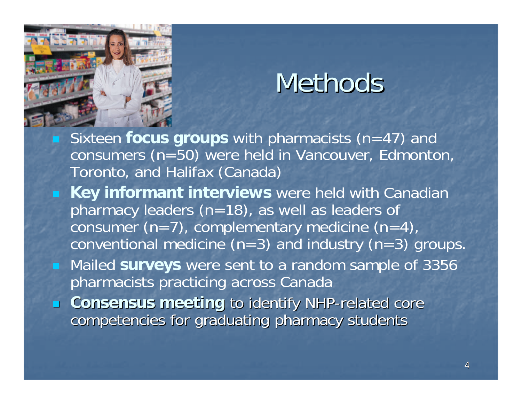

# Methods

- Sixteen **focus groups** with pharmacists (n=47) and consumers (n=50) were held in Vancouver, Edmonton, Toronto, and Halifax (Canada)
- **Key informant interviews** were held with Canadian pharmacy leaders (n=18), as well as leaders of consumer  $(n=7)$ , complementary medicine  $(n=4)$ , conventional medicine  $(n=3)$  and industry  $(n=3)$  groups.
- Mailed **surveys** were sent to a random sample of 3356 pharmacists practicing across Canada
- **E** Consensus meeting to identify NHP-related core competencies for graduating pharmacy students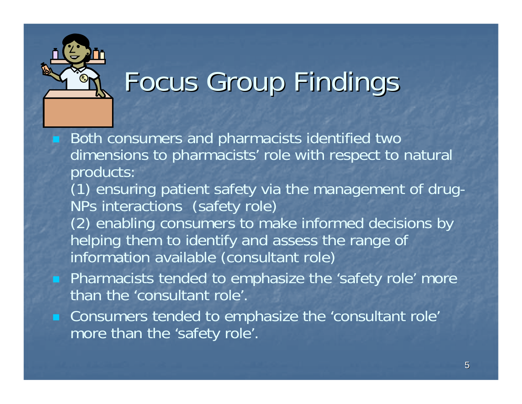

# Focus Group Findings

- Both consumers and pharmacists identified two dimensions to pharmacists' role with respect to natural products: (1) ensuring patient safety via the management of drug-NPs interactions (safety role) (2) enabling consumers to make informed decisions by helping them to identify and assess the range of information available (consultant role) **Pharmacists tended to emphasize the 'safety role' more** than the 'consultant role'.
- **Consumers tended to emphasize the 'consultant role'** more than the 'safety role'.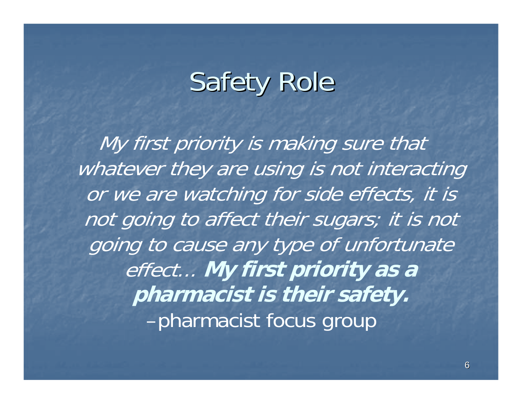# **Safety Role**

My first priority is making sure that whatever they are using is not interacting or we are watching for side effects, it is not going to affect their sugars; it is not going to cause any type of unfortunate effect... **My first priority as a pharmacist is their safety.** –pharmacist focus group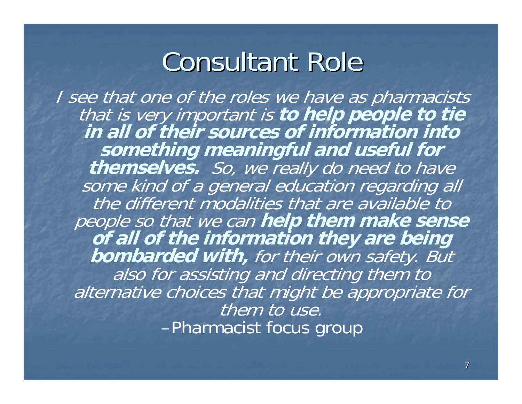## **Consultant Role**

I see that one of the roles we have as pharmacists that is very important is **to help people to tie in all of their sources of information into something meaningful and useful for themselves.** So, we really do need to have some kind of a general education regarding all the different modalities that are available to people so that we can **help them make sense of all of the information they are being bombarded with,** for their own safety. But also for assisting and directing them to alternative choices that might be appropriate for them to use. –Pharmacist focus group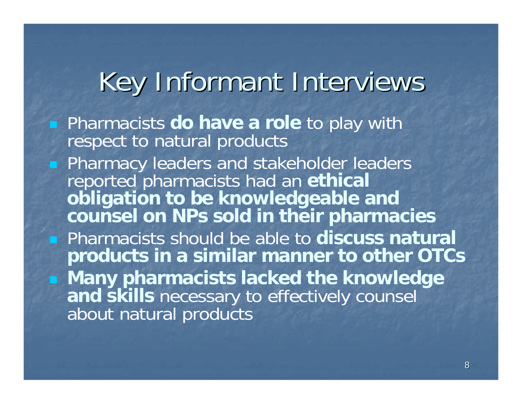# Key Informant Interviews

**Pharmacists do have a role** to play with respect to natural products **Pharmacy leaders and stakeholder leaders** reported pharmacists had an **ethical obligation to be knowledgeable and counsel on NPs sold in their pharmacies** Pharmacists should be able to **discuss natural products in a similar manner to other OTCs Many pharmacists lacked the knowledge and skills** necessary to effectively counsel about natural products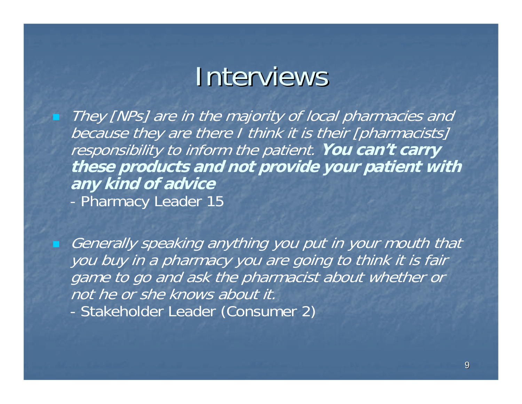## Interviews

 They [NPs] are in the majority of local pharmacies and because they are there I think it is their [pharmacists] responsibility to inform the patient. **You can't carry these products and not provide your patient with any kind of advice** -Pharmacy Leader 15

 Generally speaking anything you put in your mouth that you buy in a pharmacy you are going to think it is fair game to go and ask the pharmacist about whether or not he or she knows about it.-Stakeholder Leader (Consumer 2)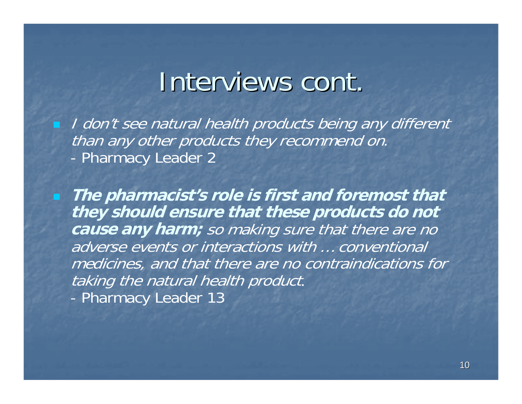## Interviews cont.

**I** don't see natural health products being any different than any other products they recommend on. -Pharmacy Leader 2

 **The pharmacist's role is first and foremost that they should ensure that these products do not cause any harm;** so making sure that there are no adverse events or interactions with … conventional medicines, and that there are no contraindications for taking the natural health product. -Pharmacy Leader 13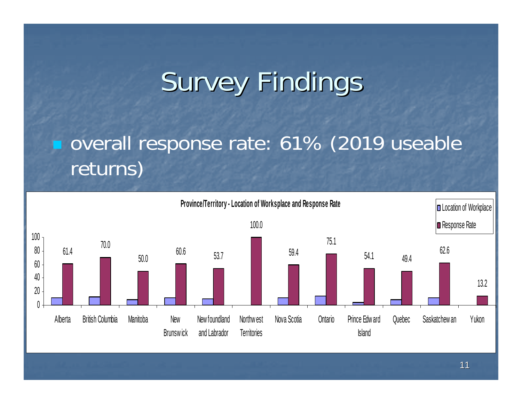# **Survey Findings**

### overall response rate: 61% (2019 useable returns)

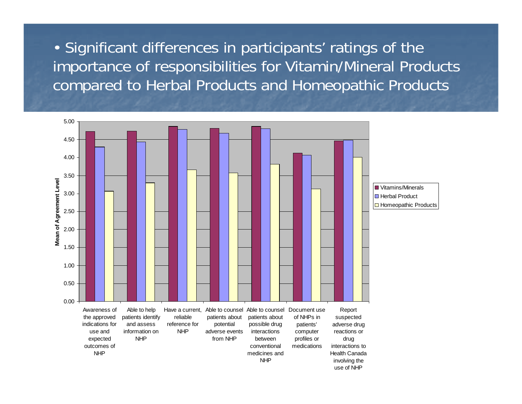• Significant differences in participants' ratings of the importance of responsibilities for Vitamin/Mineral Products compared to Herbal Products and Homeopathic Products

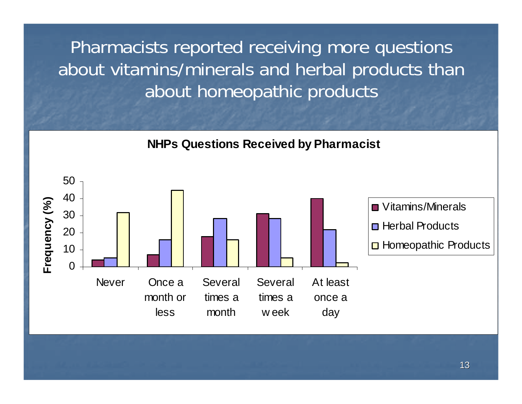Pharmacists reported receiving more questions about vitamins/minerals and herbal products than about homeopathic products

**NHPs Questions Received by Pharmacist**

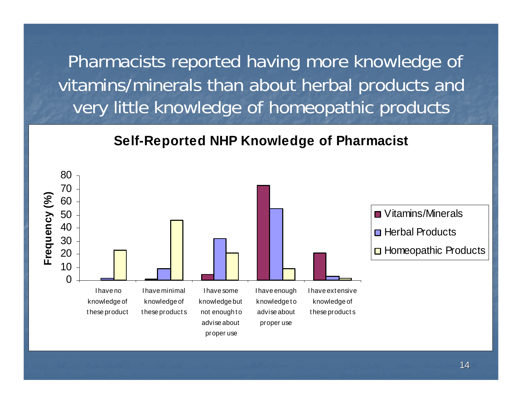Pharmacists reported having more knowledge of vitamins/minerals than about herbal products and very little knowledge of homeopathic products

#### **Self-Reported NHP Knowledge of Pharmacist**

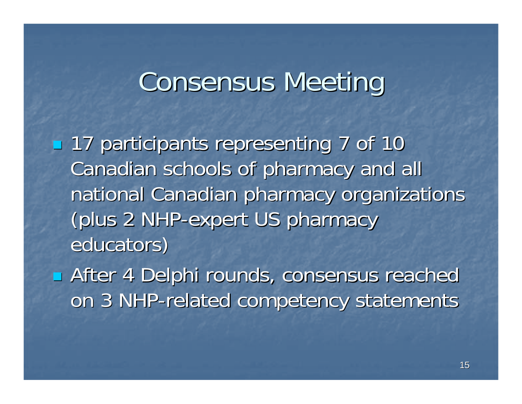# **Consensus Meeting**

■ 17 participants representing 7 of 10 Canadian schools of pharmacy and all national Canadian pharmacy organizations (plus 2 NHP-expert US pharmacy educators)

**After 4 Delphi rounds, consensus reached After 4 Delphi rounds, consensus reached** on 3 NHP-related competency statements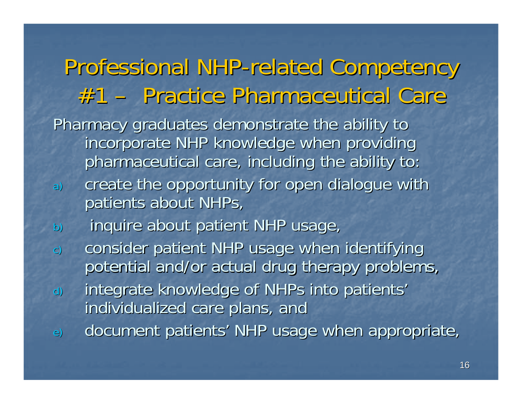Professional NHP-related Competency #1 –Practice Pharmaceutical Care Practice Pharmaceutical CarePharmacy graduates demonstrate the ability to incorporate NHP knowledge when providing pharmaceutical care, including the ability to: a) create the opportunity for open dialogue with patients about NHPs, b) inquire about patient NHP usage, c) consider patient NHP usage when identifying potential and/or actual drug therapy problems, d) integrate knowledge of NHPs into patients' individualized care plans, and e) document patients' NHP usage when appropriate,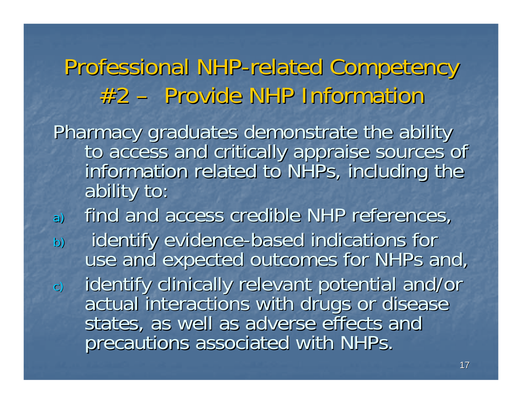Professional NHP-related Competency #2 – Provide NHP Information Pharmacy graduates demonstrate the ability<br>to access and critically appraise sources of<br>information related to NHPs, including the<br>ability to: a) find and access credible NHP references, b) identify evidence-based indications for use and expected outcomes for NHPs and, c) identify clinically relevant potential and/or<br>actual interactions with drugs or disease<br>states, as well as adverse effects and precautions associated with NHPs.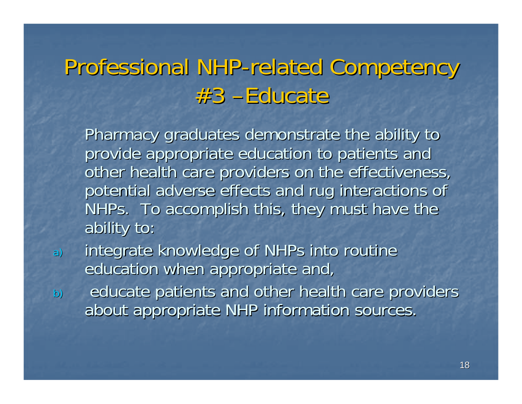### Professional NHP-related Competency #3 –Educate Educate

Pharmacy graduates demonstrate the ability to provide appropriate education to patients and other health care providers on the effectiveness, potential adverse effects and rug interactions of NHPs. To accomplish this, they must have the ability to: ability to:

- a) integrate knowledge of NHPs into routine education when appropriate and,
- b) educate patients and other health care providers about appropriate NHP information sources.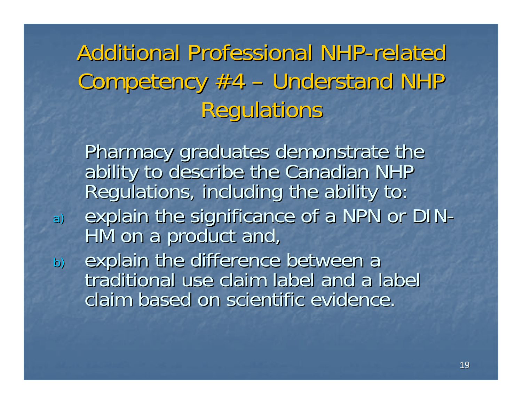#### Additional Professional NHP-related Competency #4 – – Understand NHP Regulations

Pharmacy graduates demonstrate the<br>ability to describe the Canadian NHP<br>Regulations, including the ability to: a) explain the significance of a NPN or DIN-<br>HM on a product and, b) explain the difference between a<br>traditional use claim label and a label

claim based on scientific evidence.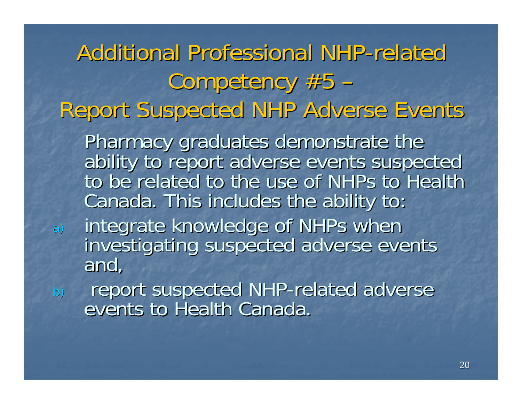Additional Professional NHP-related Competency #5 – –Report Suspected NHP Adverse Events Report Suspected NHP Adverse Events Pharmacy graduates demonstrate the<br>ability to report adverse events suspected<br>to be related to the use of NHPs to Health Canada. This includes the ability to: a) integrate knowledge of NHPs when<br>investigating suspected adverse events<br>and, b) report suspected NHP-related adverse<br>events to Health Canada.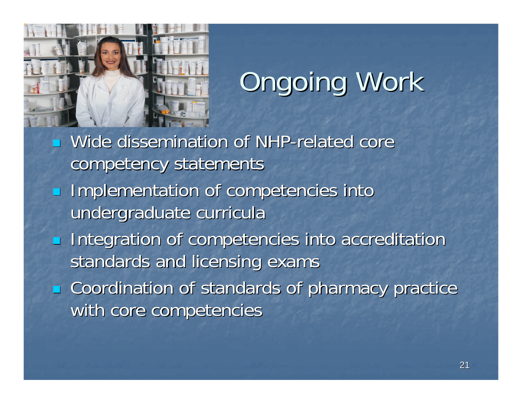

# **Ongoing Work**

 $\mathbb{R}^2$ **Nide dissemination of NHP-related core** competency statements

- Implementation of competencies into undergraduate curricula
- $\overline{\mathcal{L}}$ **Integration of competencies into accreditation** standards and licensing exams

**EXCoordination of standards of pharmacy practice** with core competencies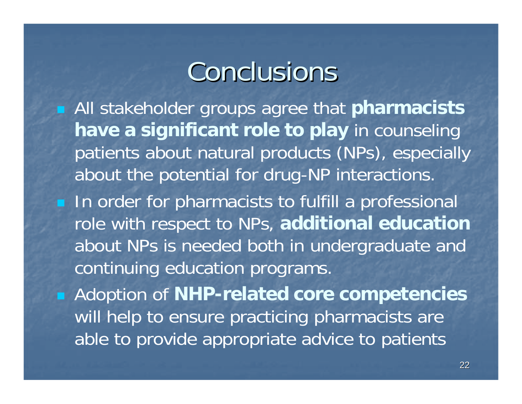# Conclusions

 All stakeholder groups agree that **pharmacists have a significant role to play** in counseling patients about natural products (NPs), especially about the potential for drug-NP interactions.

**IF In order for pharmacists to fulfill a professional** role with respect to NPs, **additional education** about NPs is needed both in undergraduate and continuing education programs.

 Adoption of **NHP-related core competencies** will help to ensure practicing pharmacists are able to provide appropriate advice to patients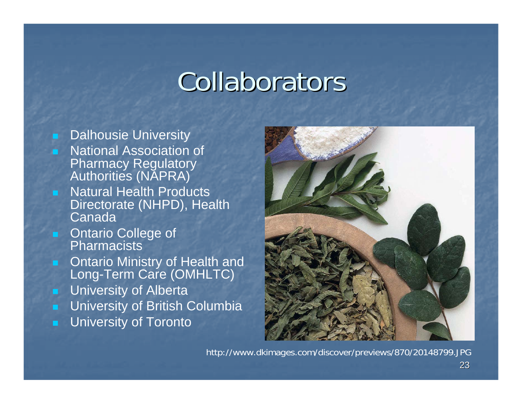# Collaborators

#### Dalhousie University

- National Association of Pharmacy Regulatory Authorities (NAPRA)
- Natural Health Products Directorate (NHPD), Health Canada
- **DRAGILARY COLLEGE OF STAGILER Pharmacists**
- **Dubber 11 Dealth and Strath** and Long-Term Care (OMHLTC)
- **DECO** University of Alberta
- University of British Columbia
- University of Toronto



http://www.dkimages.com/discover/previews/870/20148799.JPG